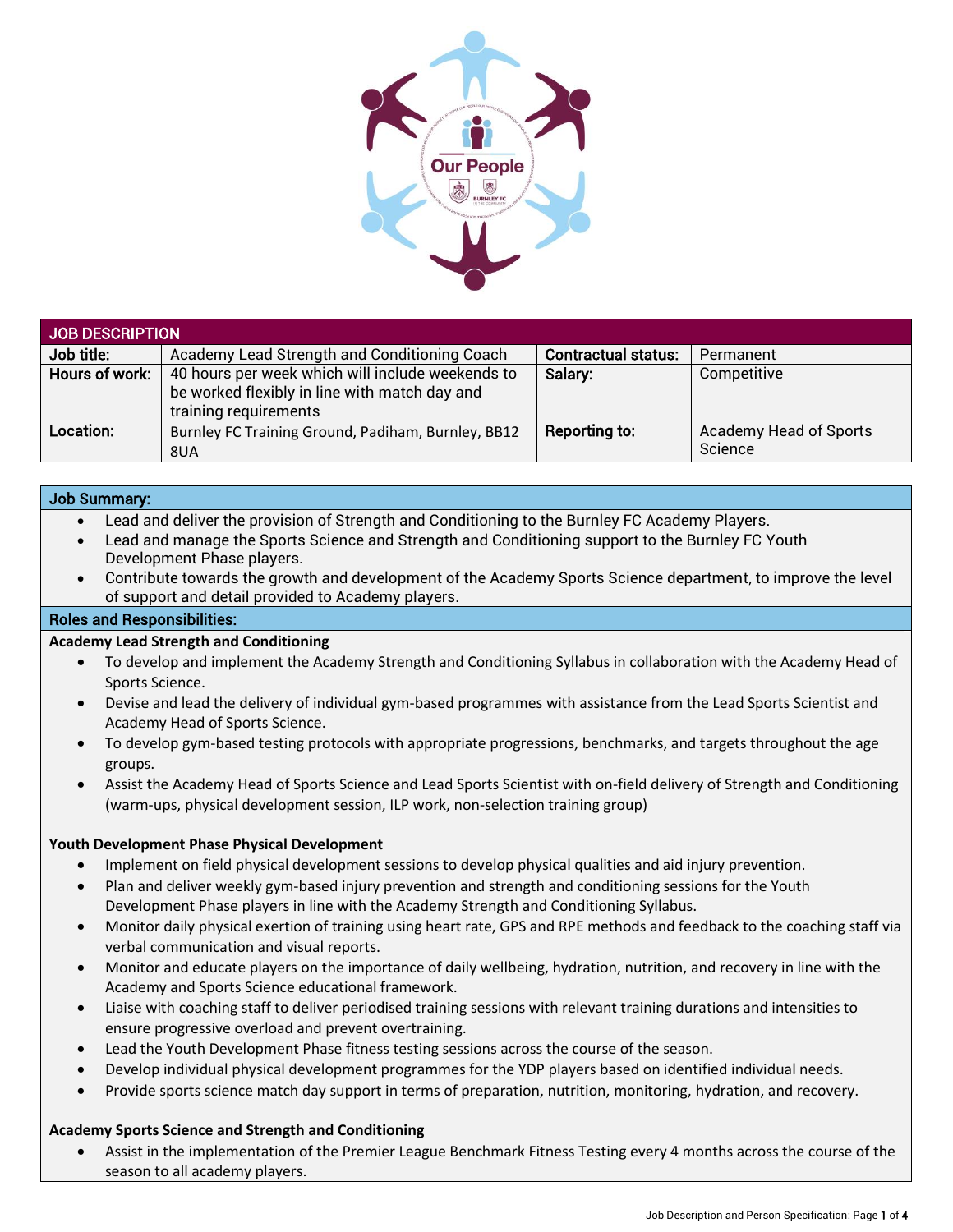

| JOB DESCRIPTION |                                                                                                                            |                            |                                   |  |
|-----------------|----------------------------------------------------------------------------------------------------------------------------|----------------------------|-----------------------------------|--|
| Job title:      | Academy Lead Strength and Conditioning Coach                                                                               | <b>Contractual status:</b> | Permanent                         |  |
| Hours of work:  | 40 hours per week which will include weekends to<br>be worked flexibly in line with match day and<br>training requirements | Salary:                    | Competitive                       |  |
| Location:       | Burnley FC Training Ground, Padiham, Burnley, BB12<br>8UA                                                                  | Reporting to:              | Academy Head of Sports<br>Science |  |

# Job Summary:

- Lead and deliver the provision of Strength and Conditioning to the Burnley FC Academy Players.
- Lead and manage the Sports Science and Strength and Conditioning support to the Burnley FC Youth Development Phase players.
- Contribute towards the growth and development of the Academy Sports Science department, to improve the level of support and detail provided to Academy players.

## Roles and Responsibilities:

### **Academy Lead Strength and Conditioning**

- To develop and implement the Academy Strength and Conditioning Syllabus in collaboration with the Academy Head of Sports Science.
- Devise and lead the delivery of individual gym-based programmes with assistance from the Lead Sports Scientist and Academy Head of Sports Science.
- To develop gym-based testing protocols with appropriate progressions, benchmarks, and targets throughout the age groups.
- Assist the Academy Head of Sports Science and Lead Sports Scientist with on-field delivery of Strength and Conditioning (warm-ups, physical development session, ILP work, non-selection training group)

### **Youth Development Phase Physical Development**

- Implement on field physical development sessions to develop physical qualities and aid injury prevention.
- Plan and deliver weekly gym-based injury prevention and strength and conditioning sessions for the Youth Development Phase players in line with the Academy Strength and Conditioning Syllabus.
- Monitor daily physical exertion of training using heart rate, GPS and RPE methods and feedback to the coaching staff via verbal communication and visual reports.
- Monitor and educate players on the importance of daily wellbeing, hydration, nutrition, and recovery in line with the Academy and Sports Science educational framework.
- Liaise with coaching staff to deliver periodised training sessions with relevant training durations and intensities to ensure progressive overload and prevent overtraining.
- Lead the Youth Development Phase fitness testing sessions across the course of the season.
- Develop individual physical development programmes for the YDP players based on identified individual needs.
- Provide sports science match day support in terms of preparation, nutrition, monitoring, hydration, and recovery.

### **Academy Sports Science and Strength and Conditioning**

• Assist in the implementation of the Premier League Benchmark Fitness Testing every 4 months across the course of the season to all academy players.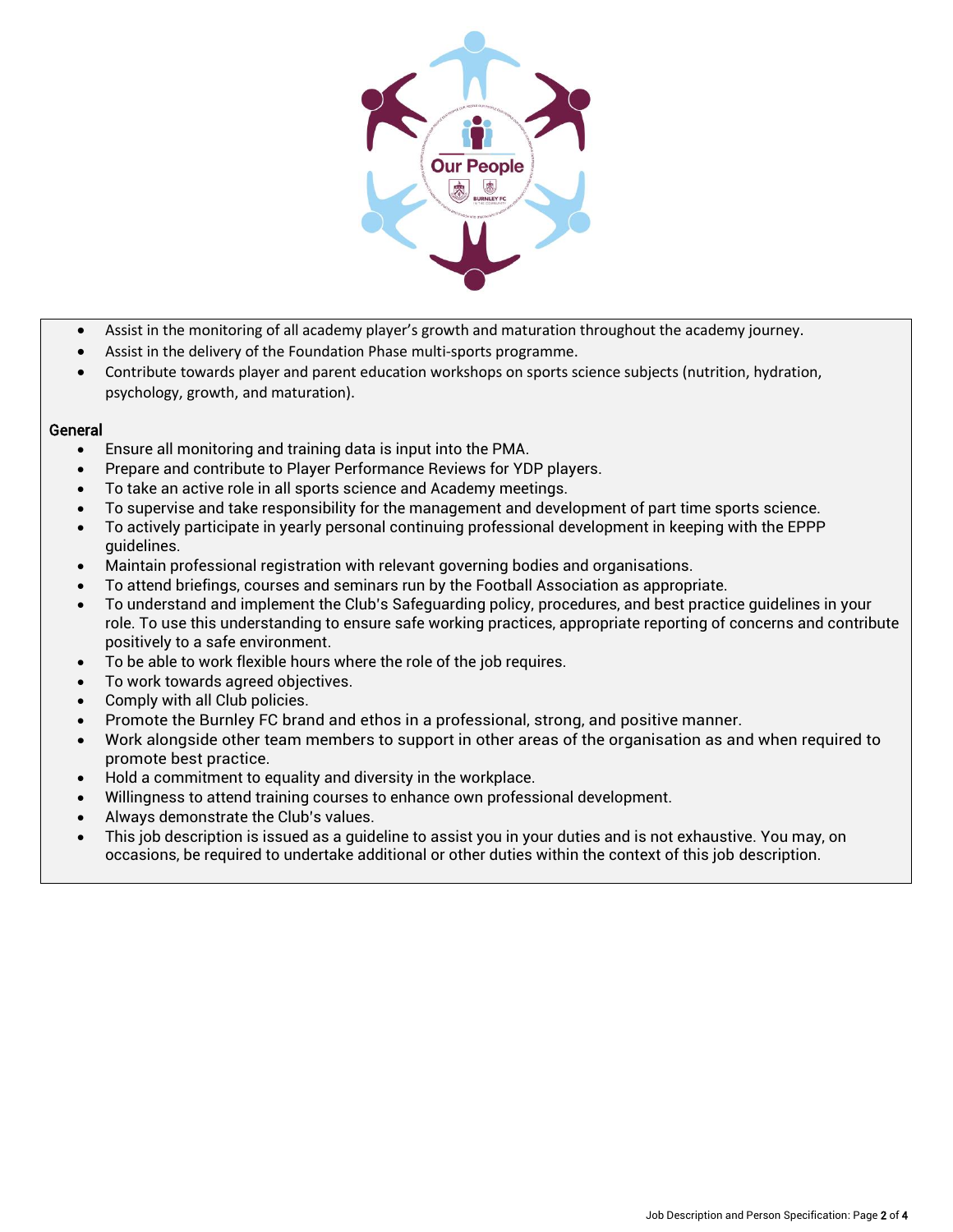

- Assist in the monitoring of all academy player's growth and maturation throughout the academy journey.
- Assist in the delivery of the Foundation Phase multi-sports programme.
- Contribute towards player and parent education workshops on sports science subjects (nutrition, hydration, psychology, growth, and maturation).

# General

- Ensure all monitoring and training data is input into the PMA.
- Prepare and contribute to Player Performance Reviews for YDP players.
- To take an active role in all sports science and Academy meetings.
- To supervise and take responsibility for the management and development of part time sports science.
- To actively participate in yearly personal continuing professional development in keeping with the EPPP guidelines.
- Maintain professional registration with relevant governing bodies and organisations.
- To attend briefings, courses and seminars run by the Football Association as appropriate.
- To understand and implement the Club's Safeguarding policy, procedures, and best practice guidelines in your role. To use this understanding to ensure safe working practices, appropriate reporting of concerns and contribute positively to a safe environment.
- To be able to work flexible hours where the role of the job requires.
- To work towards agreed objectives.
- Comply with all Club policies.
- Promote the Burnley FC brand and ethos in a professional, strong, and positive manner.
- Work alongside other team members to support in other areas of the organisation as and when required to promote best practice.
- Hold a commitment to equality and diversity in the workplace.
- Willingness to attend training courses to enhance own professional development.
- Always demonstrate the Club's values.
- This job description is issued as a guideline to assist you in your duties and is not exhaustive. You may, on occasions, be required to undertake additional or other duties within the context of this job description.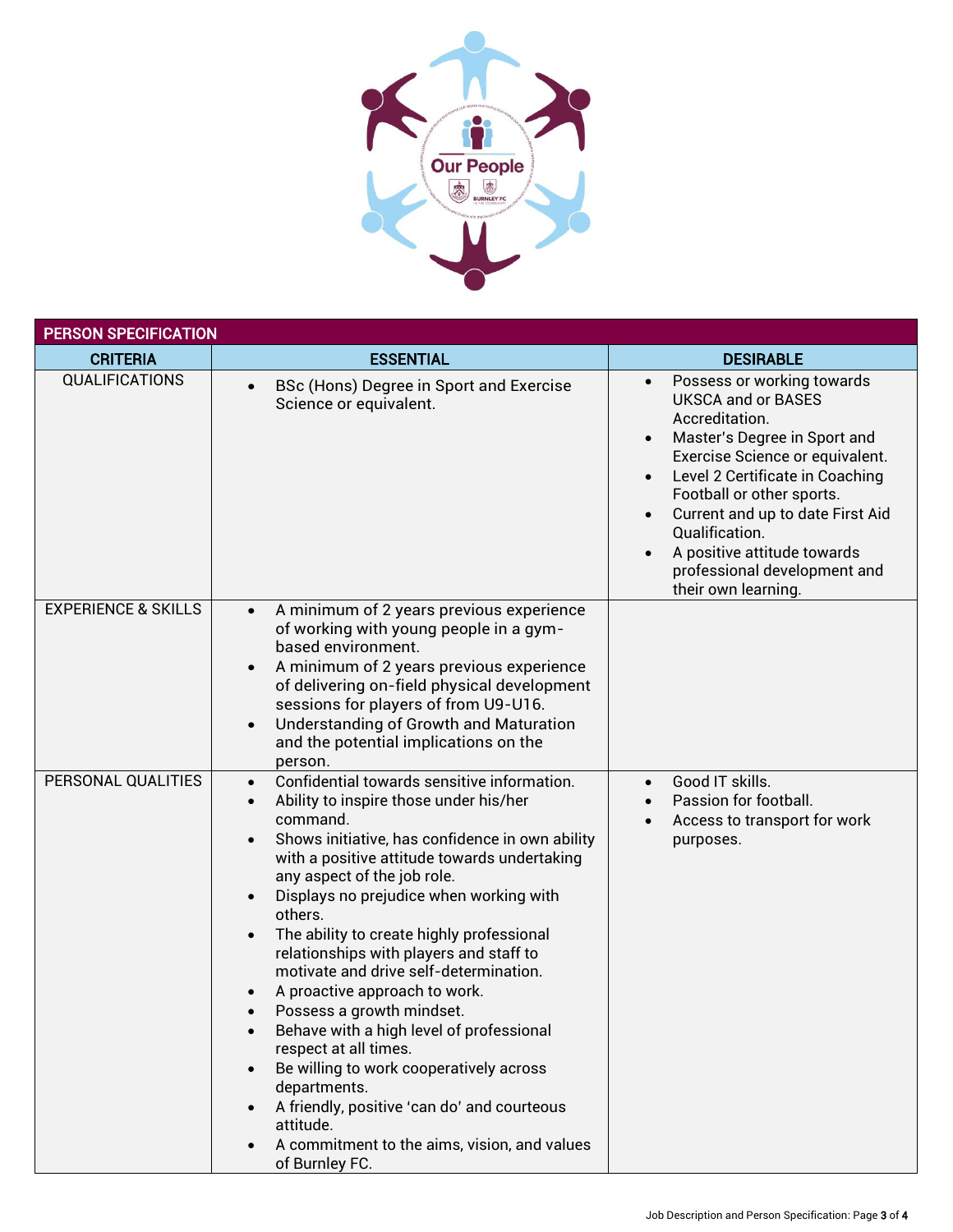

| <b>PERSON SPECIFICATION</b>    |                                                                                                                                                                                                                                                                                                                                                                                                                                                                                                                                                                                                                                                                                                                                                                                                                          |                                                                                                                                                                                                                                                                                                                                                                       |  |  |  |
|--------------------------------|--------------------------------------------------------------------------------------------------------------------------------------------------------------------------------------------------------------------------------------------------------------------------------------------------------------------------------------------------------------------------------------------------------------------------------------------------------------------------------------------------------------------------------------------------------------------------------------------------------------------------------------------------------------------------------------------------------------------------------------------------------------------------------------------------------------------------|-----------------------------------------------------------------------------------------------------------------------------------------------------------------------------------------------------------------------------------------------------------------------------------------------------------------------------------------------------------------------|--|--|--|
| <b>CRITERIA</b>                | <b>ESSENTIAL</b>                                                                                                                                                                                                                                                                                                                                                                                                                                                                                                                                                                                                                                                                                                                                                                                                         | <b>DESIRABLE</b>                                                                                                                                                                                                                                                                                                                                                      |  |  |  |
| <b>QUALIFICATIONS</b>          | BSc (Hons) Degree in Sport and Exercise<br>Science or equivalent.                                                                                                                                                                                                                                                                                                                                                                                                                                                                                                                                                                                                                                                                                                                                                        | Possess or working towards<br><b>UKSCA and or BASES</b><br>Accreditation.<br>Master's Degree in Sport and<br>$\bullet$<br>Exercise Science or equivalent.<br>Level 2 Certificate in Coaching<br>Football or other sports.<br>Current and up to date First Aid<br>Qualification.<br>A positive attitude towards<br>professional development and<br>their own learning. |  |  |  |
| <b>EXPERIENCE &amp; SKILLS</b> | A minimum of 2 years previous experience<br>of working with young people in a gym-<br>based environment.<br>A minimum of 2 years previous experience<br>$\bullet$<br>of delivering on-field physical development<br>sessions for players of from U9-U16.<br>Understanding of Growth and Maturation<br>$\bullet$<br>and the potential implications on the<br>person.                                                                                                                                                                                                                                                                                                                                                                                                                                                      |                                                                                                                                                                                                                                                                                                                                                                       |  |  |  |
| PERSONAL QUALITIES             | Confidential towards sensitive information.<br>$\bullet$<br>Ability to inspire those under his/her<br>$\bullet$<br>command.<br>Shows initiative, has confidence in own ability<br>$\bullet$<br>with a positive attitude towards undertaking<br>any aspect of the job role.<br>Displays no prejudice when working with<br>$\bullet$<br>others.<br>The ability to create highly professional<br>$\bullet$<br>relationships with players and staff to<br>motivate and drive self-determination.<br>A proactive approach to work.<br>Possess a growth mindset.<br>Behave with a high level of professional<br>respect at all times.<br>Be willing to work cooperatively across<br>departments.<br>A friendly, positive 'can do' and courteous<br>attitude.<br>A commitment to the aims, vision, and values<br>of Burnley FC. | Good IT skills.<br>$\bullet$<br>Passion for football.<br>$\bullet$<br>Access to transport for work<br>$\bullet$<br>purposes.                                                                                                                                                                                                                                          |  |  |  |